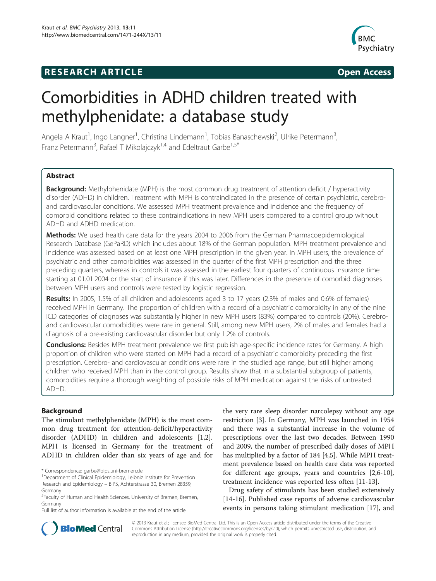# **RESEARCH ARTICLE Example 2008 CONSIDERING CONSIDERING CONSIDERING CONSIDERING CONSIDERING CONSIDERING CONSIDERING CONSIDERING CONSIDERING CONSIDERING CONSIDERING CONSIDERING CONSIDERING CONSIDERING CONSIDERING CONSIDE**



# Comorbidities in ADHD children treated with methylphenidate: a database study

Angela A Kraut<sup>1</sup>, Ingo Langner<sup>1</sup>, Christina Lindemann<sup>1</sup>, Tobias Banaschewski<sup>2</sup>, Ulrike Petermann<sup>3</sup> , Franz Petermann<sup>3</sup>, Rafael T Mikolajczyk<sup>1,4</sup> and Edeltraut Garbe<sup>1,5\*</sup>

# **Abstract**

Background: Methylphenidate (MPH) is the most common drug treatment of attention deficit / hyperactivity disorder (ADHD) in children. Treatment with MPH is contraindicated in the presence of certain psychiatric, cerebroand cardiovascular conditions. We assessed MPH treatment prevalence and incidence and the frequency of comorbid conditions related to these contraindications in new MPH users compared to a control group without ADHD and ADHD medication.

Methods: We used health care data for the years 2004 to 2006 from the German Pharmacoepidemiological Research Database (GePaRD) which includes about 18% of the German population. MPH treatment prevalence and incidence was assessed based on at least one MPH prescription in the given year. In MPH users, the prevalence of psychiatric and other comorbidities was assessed in the quarter of the first MPH prescription and the three preceding quarters, whereas in controls it was assessed in the earliest four quarters of continuous insurance time starting at 01.01.2004 or the start of insurance if this was later. Differences in the presence of comorbid diagnoses between MPH users and controls were tested by logistic regression.

Results: In 2005, 1.5% of all children and adolescents aged 3 to 17 years (2.3% of males and 0.6% of females) received MPH in Germany. The proportion of children with a record of a psychiatric comorbidity in any of the nine ICD categories of diagnoses was substantially higher in new MPH users (83%) compared to controls (20%). Cerebroand cardiovascular comorbidities were rare in general. Still, among new MPH users, 2% of males and females had a diagnosis of a pre-existing cardiovascular disorder but only 1.2% of controls.

Conclusions: Besides MPH treatment prevalence we first publish age-specific incidence rates for Germany. A high proportion of children who were started on MPH had a record of a psychiatric comorbidity preceding the first prescription. Cerebro- and cardiovascular conditions were rare in the studied age range, but still higher among children who received MPH than in the control group. Results show that in a substantial subgroup of patients, comorbidities require a thorough weighting of possible risks of MPH medication against the risks of untreated ADHD.

# Background

The stimulant methylphenidate (MPH) is the most common drug treatment for attention-deficit/hyperactivity disorder (ADHD) in children and adolescents [\[1,2](#page-8-0)]. MPH is licensed in Germany for the treatment of ADHD in children older than six years of age and for

the very rare sleep disorder narcolepsy without any age restriction [\[3](#page-8-0)]. In Germany, MPH was launched in 1954 and there was a substantial increase in the volume of prescriptions over the last two decades. Between 1990 and 2009, the number of prescribed daily doses of MPH has multiplied by a factor of 184 [[4](#page-8-0),[5\]](#page-8-0). While MPH treatment prevalence based on health care data was reported for different age groups, years and countries [[2,6-10](#page-8-0)], treatment incidence was reported less often [[11-13\]](#page-8-0).

Drug safety of stimulants has been studied extensively [[14-16](#page-8-0)]. Published case reports of adverse cardiovascular events in persons taking stimulant medication [[17](#page-8-0)], and



© 2013 Kraut et al.; licensee BioMed Central Ltd. This is an Open Access article distributed under the terms of the Creative Commons Attribution License [\(http://creativecommons.org/licenses/by/2.0\)](http://creativecommons.org/licenses/by/2.0), which permits unrestricted use, distribution, and reproduction in any medium, provided the original work is properly cited.

<sup>\*</sup> Correspondence: [garbe@bips.uni-bremen.de](mailto:garbe@bips.uni-bremen.de) <sup>1</sup>

<sup>&</sup>lt;sup>1</sup>Department of Clinical Epidemiology, Leibniz Institute for Prevention Research and Epidemiology – BIPS, Achterstrasse 30, Bremen 28359, Germany

<sup>5</sup> Faculty of Human and Health Sciences, University of Bremen, Bremen, Germany

Full list of author information is available at the end of the article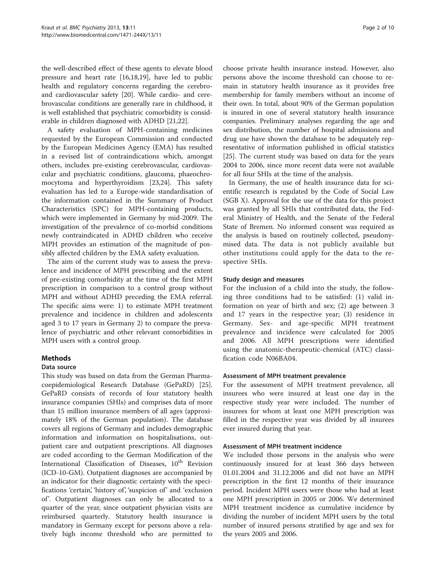the well-described effect of these agents to elevate blood pressure and heart rate [[16](#page-8-0),[18,19](#page-8-0)], have led to public health and regulatory concerns regarding the cerebroand cardiovascular safety [\[20\]](#page-8-0). While cardio- and cerebrovascular conditions are generally rare in childhood, it is well established that psychiatric comorbidity is considerable in children diagnosed with ADHD [\[21,22\]](#page-8-0).

A safety evaluation of MPH-containing medicines requested by the European Commission and conducted by the European Medicines Agency (EMA) has resulted in a revised list of contraindications which, amongst others, includes pre-existing cerebrovascular, cardiovascular and psychiatric conditions, glaucoma, phaeochromocytoma and hyperthyroidism [\[23,24](#page-8-0)]. This safety evaluation has led to a Europe-wide standardisation of the information contained in the Summary of Product Characteristics (SPC) for MPH-containing products, which were implemented in Germany by mid-2009. The investigation of the prevalence of co-morbid conditions newly contraindicated in ADHD children who receive MPH provides an estimation of the magnitude of possibly affected children by the EMA safety evaluation.

The aim of the current study was to assess the prevalence and incidence of MPH prescribing and the extent of pre-existing comorbidity at the time of the first MPH prescription in comparison to a control group without MPH and without ADHD preceding the EMA referral. The specific aims were: 1) to estimate MPH treatment prevalence and incidence in children and adolescents aged 3 to 17 years in Germany 2) to compare the prevalence of psychiatric and other relevant comorbidities in MPH users with a control group.

# Methods

# Data source

This study was based on data from the German Pharmacoepidemiological Research Database (GePaRD) [\[25](#page-8-0)]. GePaRD consists of records of four statutory health insurance companies (SHIs) and comprises data of more than 15 million insurance members of all ages (approximately 18% of the German population). The database covers all regions of Germany and includes demographic information and information on hospitalisations, outpatient care and outpatient prescriptions. All diagnoses are coded according to the German Modification of the International Classification of Diseases,  $10^{th}$  Revision (ICD-10-GM). Outpatient diagnoses are accompanied by an indicator for their diagnostic certainty with the specifications 'certain', 'history of', 'suspicion of' and 'exclusion of'. Outpatient diagnoses can only be allocated to a quarter of the year, since outpatient physician visits are reimbursed quarterly. Statutory health insurance is mandatory in Germany except for persons above a relatively high income threshold who are permitted to choose private health insurance instead. However, also persons above the income threshold can choose to remain in statutory health insurance as it provides free membership for family members without an income of their own. In total, about 90% of the German population is insured in one of several statutory health insurance companies. Preliminary analyses regarding the age and sex distribution, the number of hospital admissions and drug use have shown the database to be adequately representative of information published in official statistics [[25\]](#page-8-0). The current study was based on data for the years 2004 to 2006, since more recent data were not available for all four SHIs at the time of the analysis.

In Germany, the use of health insurance data for scientific research is regulated by the Code of Social Law (SGB X). Approval for the use of the data for this project was granted by all SHIs that contributed data, the Federal Ministry of Health, and the Senate of the Federal State of Bremen. No informed consent was required as the analysis is based on routinely collected, pseudonymised data. The data is not publicly available but other institutions could apply for the data to the respective SHIs.

### Study design and measures

For the inclusion of a child into the study, the following three conditions had to be satisfied: (1) valid information on year of birth and sex; (2) age between 3 and 17 years in the respective year; (3) residence in Germany. Sex- and age-specific MPH treatment prevalence and incidence were calculated for 2005 and 2006. All MPH prescriptions were identified using the anatomic-therapeutic-chemical (ATC) classification code N06BA04.

# Assessment of MPH treatment prevalence

For the assessment of MPH treatment prevalence, all insurees who were insured at least one day in the respective study year were included. The number of insurees for whom at least one MPH prescription was filled in the respective year was divided by all insurees ever insured during that year.

#### Assessment of MPH treatment incidence

We included those persons in the analysis who were continuously insured for at least 366 days between 01.01.2004 and 31.12.2006 and did not have an MPH prescription in the first 12 months of their insurance period. Incident MPH users were those who had at least one MPH prescription in 2005 or 2006. We determined MPH treatment incidence as cumulative incidence by dividing the number of incident MPH users by the total number of insured persons stratified by age and sex for the years 2005 and 2006.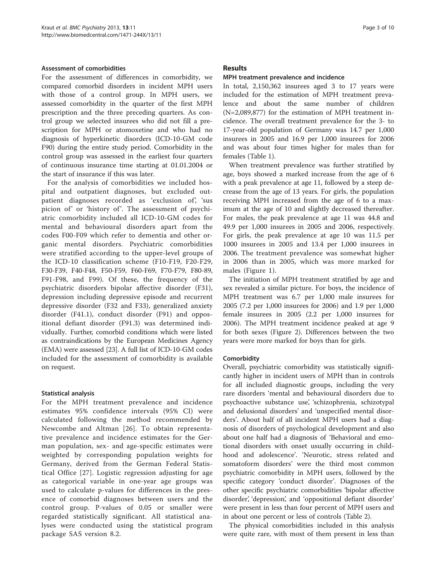#### Assessment of comorbidities

For the assessment of differences in comorbidity, we compared comorbid disorders in incident MPH users with those of a control group. In MPH users, we assessed comorbidity in the quarter of the first MPH prescription and the three preceding quarters. As control group we selected insurees who did not fill a prescription for MPH or atomoxetine and who had no diagnosis of hyperkinetic disorders (ICD-10-GM code F90) during the entire study period. Comorbidity in the control group was assessed in the earliest four quarters of continuous insurance time starting at 01.01.2004 or the start of insurance if this was later.

For the analysis of comorbidities we included hospital and outpatient diagnoses, but excluded outpatient diagnoses recorded as 'exclusion of', 'sus picion of' or 'history of'. The assessment of psychiatric comorbidity included all ICD-10-GM codes for mental and behavioural disorders apart from the codes F00-F09 which refer to dementia and other organic mental disorders. Psychiatric comorbidities were stratified according to the upper-level groups of the ICD-10 classification scheme (F10-F19, F20-F29, F30-F39, F40-F48, F50-F59, F60-F69, F70-F79, F80-89, F91-F98, and F99). Of these, the frequency of the psychiatric disorders bipolar affective disorder (F31), depression including depressive episode and recurrent depressive disorder (F32 and F33), generalized anxiety disorder (F41.1), conduct disorder (F91) and oppositional defiant disorder (F91.3) was determined individually. Further, comorbid conditions which were listed as contraindications by the European Medicines Agency (EMA) were assessed [[23](#page-8-0)]. A full list of ICD-10-GM codes included for the assessment of comorbidity is available on request.

# Statistical analysis

For the MPH treatment prevalence and incidence estimates 95% confidence intervals (95% CI) were calculated following the method recommended by Newcombe and Altman [\[26](#page-8-0)]. To obtain representative prevalence and incidence estimates for the German population, sex- and age-specific estimates were weighted by corresponding population weights for Germany, derived from the German Federal Statistical Office [\[27](#page-8-0)]. Logistic regression adjusting for age as categorical variable in one-year age groups was used to calculate p-values for differences in the presence of comorbid diagnoses between users and the control group. P-values of 0.05 or smaller were regarded statistically significant. All statistical analyses were conducted using the statistical program package SAS version 8.2.

## Results

#### MPH treatment prevalence and incidence

In total, 2,150,362 insurees aged 3 to 17 years were included for the estimation of MPH treatment prevalence and about the same number of children (N=2,089,877) for the estimation of MPH treatment incidence. The overall treatment prevalence for the 3- to 17-year-old population of Germany was 14.7 per 1,000 insurees in 2005 and 16.9 per 1,000 insurees for 2006 and was about four times higher for males than for females (Table [1](#page-3-0)).

When treatment prevalence was further stratified by age, boys showed a marked increase from the age of 6 with a peak prevalence at age 11, followed by a steep decrease from the age of 13 years. For girls, the population receiving MPH increased from the age of 6 to a maximum at the age of 10 and slightly decreased thereafter. For males, the peak prevalence at age 11 was 44.8 and 49.9 per 1,000 insurees in 2005 and 2006, respectively. For girls, the peak prevalence at age 10 was 11.5 per 1000 insurees in 2005 and 13.4 per 1,000 insurees in 2006. The treatment prevalence was somewhat higher in 2006 than in 2005, which was more marked for males (Figure [1](#page-3-0)).

The initiation of MPH treatment stratified by age and sex revealed a similar picture. For boys, the incidence of MPH treatment was 6.7 per 1,000 male insurees for 2005 (7.2 per 1,000 insurees for 2006) and 1.9 per 1,000 female insurees in 2005 (2.2 per 1,000 insurees for 2006). The MPH treatment incidence peaked at age 9 for both sexes (Figure [2\)](#page-4-0). Differences between the two years were more marked for boys than for girls.

#### **Comorbidity**

Overall, psychiatric comorbidity was statistically significantly higher in incident users of MPH than in controls for all included diagnostic groups, including the very rare disorders 'mental and behavioural disorders due to psychoactive substance use', 'schizophrenia, schizotypal and delusional disorders' and 'unspecified mental disorders'. About half of all incident MPH users had a diagnosis of disorders of psychological development and also about one half had a diagnosis of 'Behavioral and emotional disorders with onset usually occurring in childhood and adolescence'. 'Neurotic, stress related and somatoform disorders' were the third most common psychiatric comorbidity in MPH users, followed by the specific category 'conduct disorder'. Diagnoses of the other specific psychiatric comorbidities 'bipolar affective disorder', 'depression', and 'oppositional defiant disorder' were present in less than four percent of MPH users and in about one percent or less of controls (Table [2\)](#page-4-0).

The physical comorbidities included in this analysis were quite rare, with most of them present in less than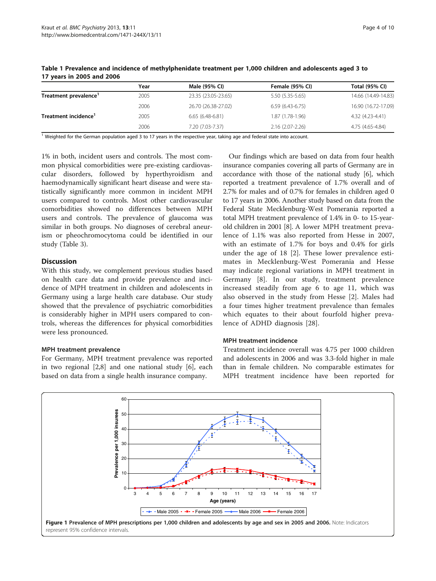|                       | Year | Male (95% CI)       | Female (95% CI)     | Total (95% CI)      |
|-----------------------|------|---------------------|---------------------|---------------------|
| Treatment prevalence' | 2005 | 23.35 (23.05-23.65) | 5.50 (5.35-5.65)    | 14.66 (14.49-14.83) |
|                       | 2006 | 26.70 (26.38-27.02) | $6.59(6.43-6.75)$   | 16.90 (16.72-17.09) |
| Treatment incidence'  | 2005 | $6.65(6.48-6.81)$   | $1.87(1.78-1.96)$   | 4.32 (4.23-4.41)    |
|                       | 2006 | 7.20 (7.03-7.37)    | $2.16(2.07 - 2.26)$ | 4.75 (4.65-4.84)    |

<span id="page-3-0"></span>Table 1 Prevalence and incidence of methylphenidate treatment per 1,000 children and adolescents aged 3 to 17 years in 2005 and 2006

<sup>1</sup> Weighted for the German population aged 3 to 17 years in the respective year, taking age and federal state into account.

1% in both, incident users and controls. The most common physical comorbidities were pre-existing cardiovascular disorders, followed by hyperthyroidism and haemodynamically significant heart disease and were statistically significantly more common in incident MPH users compared to controls. Most other cardiovascular comorbidities showed no differences between MPH users and controls. The prevalence of glaucoma was similar in both groups. No diagnoses of cerebral aneurism or pheochromocytoma could be identified in our study (Table [3\)](#page-5-0).

# **Discussion**

With this study, we complement previous studies based on health care data and provide prevalence and incidence of MPH treatment in children and adolescents in Germany using a large health care database. Our study showed that the prevalence of psychiatric comorbidities is considerably higher in MPH users compared to controls, whereas the differences for physical comorbidities were less pronounced.

# MPH treatment prevalence

For Germany, MPH treatment prevalence was reported in two regional [\[2,8](#page-8-0)] and one national study [\[6\]](#page-8-0), each based on data from a single health insurance company.

Our findings which are based on data from four health insurance companies covering all parts of Germany are in accordance with those of the national study [[6\]](#page-8-0), which reported a treatment prevalence of 1.7% overall and of 2.7% for males and of 0.7% for females in children aged 0 to 17 years in 2006. Another study based on data from the Federal State Mecklenburg-West Pomerania reported a total MPH treatment prevalence of 1.4% in 0- to 15-yearold children in 2001 [[8\]](#page-8-0). A lower MPH treatment prevalence of 1.1% was also reported from Hesse in 2007, with an estimate of 1.7% for boys and 0.4% for girls under the age of 18 [\[2](#page-8-0)]. These lower prevalence estimates in Mecklenburg-West Pomerania and Hesse may indicate regional variations in MPH treatment in Germany [[8](#page-8-0)]. In our study, treatment prevalence increased steadily from age 6 to age 11, which was also observed in the study from Hesse [[2\]](#page-8-0). Males had a four times higher treatment prevalence than females which equates to their about fourfold higher prevalence of ADHD diagnosis [[28\]](#page-8-0).

# MPH treatment incidence

Treatment incidence overall was 4.75 per 1000 children and adolescents in 2006 and was 3.3-fold higher in male than in female children. No comparable estimates for MPH treatment incidence have been reported for

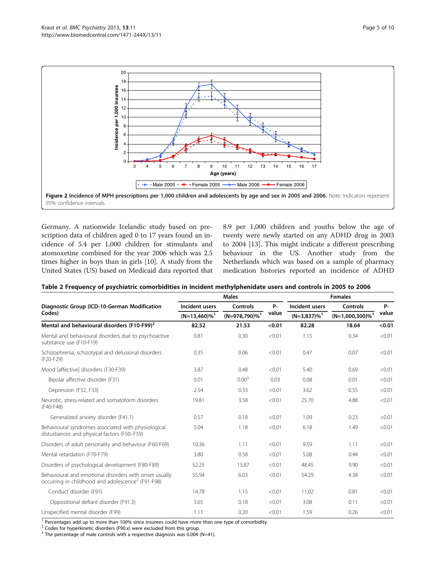<span id="page-4-0"></span>

Germany. A nationwide Icelandic study based on prescription data of children aged 0 to 17 years found an incidence of 5.4 per 1,000 children for stimulants and atomoxetine combined for the year 2006 which was 2.5 times higher in boys than in girls [[10\]](#page-8-0). A study from the United States (US) based on Medicaid data reported that 8.9 per 1,000 children and youths below the age of twenty were newly started on any ADHD drug in 2003 to 2004 [\[13\]](#page-8-0). This might indicate a different prescribing behaviour in the US. Another study from the Netherlands which was based on a sample of pharmacy medication histories reported an incidence of ADHD

| Table 2 Frequency of psychiatric comorbidities in incident methylphenidate users and controls in 2005 to 2006 |  |
|---------------------------------------------------------------------------------------------------------------|--|
|---------------------------------------------------------------------------------------------------------------|--|

|                                                                                                                         | <b>Males</b>                                  |                                          |                    | <b>Females</b>                               |                                            |             |
|-------------------------------------------------------------------------------------------------------------------------|-----------------------------------------------|------------------------------------------|--------------------|----------------------------------------------|--------------------------------------------|-------------|
| Diagnostic Group (ICD-10-German Modification                                                                            | Incident users<br>$(N=13,460)\%$ <sup>1</sup> | Controls<br>$(N=978,790)\%$ <sup>1</sup> | <b>P-</b><br>value | Incident users<br>$(N=3,837)\%$ <sup>1</sup> | Controls<br>$(N=1,000,300)\%$ <sup>1</sup> | P-<br>value |
| Codes)                                                                                                                  |                                               |                                          |                    |                                              |                                            |             |
| Mental and behavioural disorders (F10-F99) <sup>2</sup>                                                                 | 82.52                                         | 21.53                                    | < 0.01             | 82.28                                        | 18.64                                      | < 0.01      |
| Mental and behavioural disorders due to psychoactive<br>substance use (F10-F19)                                         | 0.81                                          | 0.30                                     | < 0.01             | 1.15                                         | 0.34                                       | < 0.01      |
| Schizophrenia, schizotypal and delusional disorders<br>(F20-F29)                                                        | 0.35                                          | 0.06                                     | < 0.01             | 0.47                                         | 0.07                                       | < 0.01      |
| Mood [affective] disorders (F30-F39)                                                                                    | 3.87                                          | 0.48                                     | < 0.01             | 5.40                                         | 0.69                                       | < 0.01      |
| Bipolar affective disorder (F31)                                                                                        | 0.01                                          | 0.00 <sup>3</sup>                        | 0.03               | 0.08                                         | 0.01                                       | < 0.01      |
| Depression (F32, F33)                                                                                                   | 2.54                                          | 0.33                                     | < 0.01             | 3.62                                         | 0.55                                       | < 0.01      |
| Neurotic, stress-related and somatoform disorders<br>(F40-F48)                                                          | 19.81                                         | 3.58                                     | < 0.01             | 25.70                                        | 4.88                                       | < 0.01      |
| Generalized anxiety disorder (F41.1)                                                                                    | 0.57                                          | 0.18                                     | < 0.01             | 1.09                                         | 0.23                                       | < 0.01      |
| Behavioural syndromes associated with physiological<br>disturbances and physical factors (F50-F59)                      | 5.04                                          | 1.18                                     | < 0.01             | 6.18                                         | 1.49                                       | < 0.01      |
| Disorders of adult personality and behaviour (F60-F69)                                                                  | 10.36                                         | 1.11                                     | < 0.01             | 9.59                                         | 1.11                                       | < 0.01      |
| Mental retardation (F70-F79)                                                                                            | 3.80                                          | 0.58                                     | < 0.01             | 5.08                                         | 0.44                                       | < 0.01      |
| Disorders of psychological development (F80-F89)                                                                        | 52.25                                         | 13.87                                    | < 0.01             | 48.45                                        | 9.90                                       | < 0.01      |
| Behavioural and emotional disorders with onset usually<br>occurring in childhood and adolescence <sup>2</sup> (F91-F98) | 55.94                                         | 6.03                                     | < 0.01             | 54.29                                        | 4.38                                       | < 0.01      |
| Conduct disorder (F91)                                                                                                  | 14.78                                         | 1.15                                     | < 0.01             | 11.02                                        | 0.81                                       | < 0.01      |
| Oppositional defiant disorder (F91.3)                                                                                   | 3.65                                          | 0.18                                     | < 0.01             | 3.08                                         | 0.11                                       | < 0.01      |
| Unspecified mental disorder (F99)                                                                                       | 1.11                                          | 0.20                                     | < 0.01             | 1.59                                         | 0.26                                       | < 0.01      |

<sup>1</sup> Percentages add up to more than 100% since insurees could have more than one type of comorbidity.

<sup>2</sup> Codes for hyperkinetic disorders (F90.x) were excluded from this group.

<sup>3</sup> The percentage of male controls with a respective diagnosis was 0.004 (N=41).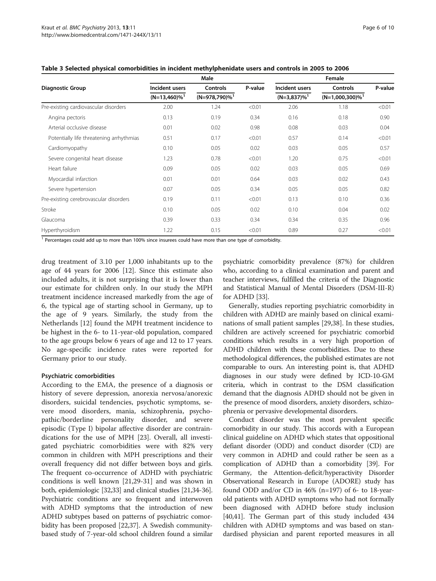|                                          | Male                        |                              |         | Female                     |                                |         |  |
|------------------------------------------|-----------------------------|------------------------------|---------|----------------------------|--------------------------------|---------|--|
| <b>Diagnostic Group</b>                  | Incident users              | <b>Controls</b>              | P-value | Incident users             | <b>Controls</b>                | P-value |  |
|                                          | $(N=13,460)\%$ <sup>1</sup> | $(N=978,790)\%$ <sup>1</sup> |         | $(N=3,837)\%$ <sup>1</sup> | $(N=1,000,300)\%$ <sup>1</sup> |         |  |
| Pre-existing cardiovascular disorders    | 2.00                        | 1.24                         | < 0.01  | 2.06                       | 1.18                           | < 0.01  |  |
| Angina pectoris                          | 0.13                        | 0.19                         | 0.34    | 0.16                       | 0.18                           | 0.90    |  |
| Arterial occlusive disease               | 0.01                        | 0.02                         | 0.98    | 0.08                       | 0.03                           | 0.04    |  |
| Potentially life threatening arrhythmias | 0.51                        | 0.17                         | < 0.01  | 0.57                       | 0.14                           | < 0.01  |  |
| Cardiomyopathy                           | 0.10                        | 0.05                         | 0.02    | 0.03                       | 0.05                           | 0.57    |  |
| Severe congenital heart disease          | 1.23                        | 0.78                         | < 0.01  | 1.20                       | 0.75                           | < 0.01  |  |
| Heart failure                            | 0.09                        | 0.05                         | 0.02    | 0.03                       | 0.05                           | 0.69    |  |
| Myocardial infarction                    | 0.01                        | 0.01                         | 0.64    | 0.03                       | 0.02                           | 0.43    |  |
| Severe hypertension                      | 0.07                        | 0.05                         | 0.34    | 0.05                       | 0.05                           | 0.82    |  |
| Pre-existing cerebrovascular disorders   | 0.19                        | 0.11                         | < 0.01  | 0.13                       | 0.10                           | 0.36    |  |
| Stroke                                   | 0.10                        | 0.05                         | 0.02    | 0.10                       | 0.04                           | 0.02    |  |
| Glaucoma                                 | 0.39                        | 0.33                         | 0.34    | 0.34                       | 0.35                           | 0.96    |  |
| Hyperthyroidism                          | 1.22                        | 0.15                         | < 0.01  | 0.89                       | 0.27                           | < 0.01  |  |

<span id="page-5-0"></span>Table 3 Selected physical comorbidities in incident methylphenidate users and controls in 2005 to 2006

<sup>1</sup> Percentages could add up to more than 100% since insurees could have more than one type of comorbidity.

drug treatment of 3.10 per 1,000 inhabitants up to the age of 44 years for 2006 [[12](#page-8-0)]. Since this estimate also included adults, it is not surprising that it is lower than our estimate for children only. In our study the MPH treatment incidence increased markedly from the age of 6, the typical age of starting school in Germany, up to the age of 9 years. Similarly, the study from the Netherlands [[12\]](#page-8-0) found the MPH treatment incidence to be highest in the 6- to 11-year-old population, compared to the age groups below 6 years of age and 12 to 17 years. No age-specific incidence rates were reported for Germany prior to our study.

#### Psychiatric comorbidities

According to the EMA, the presence of a diagnosis or history of severe depression, anorexia nervosa/anorexic disorders, suicidal tendencies, psychotic symptoms, severe mood disorders, mania, schizophrenia, psychopathic/borderline personality disorder, and severe episodic (Type I) bipolar affective disorder are contraindications for the use of MPH [[23\]](#page-8-0). Overall, all investigated psychiatric comorbidities were with 82% very common in children with MPH prescriptions and their overall frequency did not differ between boys and girls. The frequent co-occurrence of ADHD with psychiatric conditions is well known [\[21,29](#page-8-0)-[31](#page-8-0)] and was shown in both, epidemiologic [[32,33\]](#page-8-0) and clinical studies [[21,34](#page-8-0)-[36](#page-8-0)]. Psychiatric conditions are so frequent and interwoven with ADHD symptoms that the introduction of new ADHD subtypes based on patterns of psychiatric comorbidity has been proposed [\[22,37](#page-8-0)]. A Swedish communitybased study of 7-year-old school children found a similar

psychiatric comorbidity prevalence (87%) for children who, according to a clinical examination and parent and teacher interviews, fulfilled the criteria of the Diagnostic and Statistical Manual of Mental Disorders (DSM-III-R) for ADHD [\[33\]](#page-8-0).

Generally, studies reporting psychiatric comorbidity in children with ADHD are mainly based on clinical examinations of small patient samples [\[29,38](#page-8-0)]. In these studies, children are actively screened for psychiatric comorbid conditions which results in a very high proportion of ADHD children with these comorbidities. Due to these methodological differences, the published estimates are not comparable to ours. An interesting point is, that ADHD diagnoses in our study were defined by ICD-10-GM criteria, which in contrast to the DSM classification demand that the diagnosis ADHD should not be given in the presence of mood disorders, anxiety disorders, schizophrenia or pervasive developmental disorders.

Conduct disorder was the most prevalent specific comorbidity in our study. This accords with a European clinical guideline on ADHD which states that oppositional defiant disorder (ODD) and conduct disorder (CD) are very common in ADHD and could rather be seen as a complication of ADHD than a comorbidity [[39\]](#page-9-0). For Germany, the Attention-deficit/hyperactivity Disorder Observational Research in Europe (ADORE) study has found ODD and/or CD in 46% (n=197) of 6- to 18-yearold patients with ADHD symptoms who had not formally been diagnosed with ADHD before study inclusion [[40](#page-9-0),[41](#page-9-0)]. The German part of this study included 434 children with ADHD symptoms and was based on standardised physician and parent reported measures in all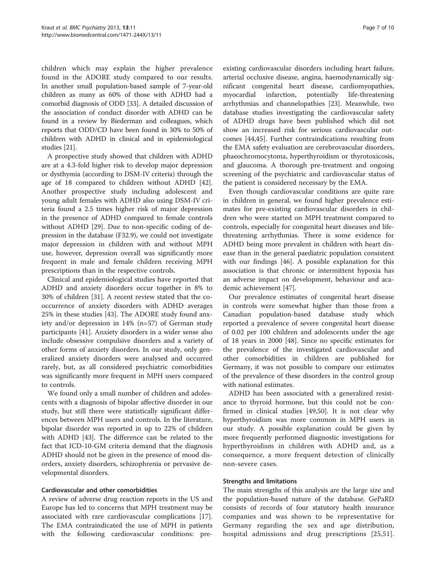children which may explain the higher prevalence found in the ADORE study compared to our results. In another small population-based sample of 7-year-old children as many as 60% of those with ADHD had a comorbid diagnosis of ODD [[33](#page-8-0)]. A detailed discussion of the association of conduct disorder with ADHD can be found in a review by Biederman and colleagues, which reports that ODD/CD have been found in 30% to 50% of children with ADHD in clinical and in epidemiological studies [\[21\]](#page-8-0).

A prospective study showed that children with ADHD are at a 4.3-fold higher risk to develop major depression or dysthymia (according to DSM-IV criteria) through the age of 18 compared to children without ADHD [\[42](#page-9-0)]. Another prospective study including adolescent and young adult females with ADHD also using DSM-IV criteria found a 2.5 times higher risk of major depression in the presence of ADHD compared to female controls without ADHD [\[29\]](#page-8-0). Due to non-specific coding of depression in the database (F32.9), we could not investigate major depression in children with and without MPH use, however, depression overall was significantly more frequent in male and female children receiving MPH prescriptions than in the respective controls.

Clinical and epidemiological studies have reported that ADHD and anxiety disorders occur together in 8% to 30% of children [[31](#page-8-0)]. A recent review stated that the cooccurrence of anxiety disorders with ADHD averages 25% in these studies [\[43](#page-9-0)]. The ADORE study found anxiety and/or depression in 14% (n=57) of German study participants [\[41\]](#page-9-0). Anxiety disorders in a wider sense also include obsessive compulsive disorders and a variety of other forms of anxiety disorders. In our study, only generalized anxiety disorders were analysed and occurred rarely, but, as all considered psychiatric comorbidities was significantly more frequent in MPH users compared to controls.

We found only a small number of children and adolescents with a diagnosis of bipolar affective disorder in our study, but still there were statistically significant differences between MPH users and controls. In the literature, bipolar disorder was reported in up to 22% of children with ADHD [\[43](#page-9-0)]. The difference can be related to the fact that ICD-10-GM criteria demand that the diagnosis ADHD should not be given in the presence of mood disorders, anxiety disorders, schizophrenia or pervasive developmental disorders.

#### Cardiovascular and other comorbidities

A review of adverse drug reaction reports in the US and Europe has led to concerns that MPH treatment may be associated with rare cardiovascular complications [\[17](#page-8-0)]. The EMA contraindicated the use of MPH in patients with the following cardiovascular conditions: preexisting cardiovascular disorders including heart failure, arterial occlusive disease, angina, haemodynamically significant congenital heart disease, cardiomyopathies, myocardial infarction, potentially life-threatening arrhythmias and channelopathies [[23\]](#page-8-0). Meanwhile, two database studies investigating the cardiovascular safety of ADHD drugs have been published which did not

show an increased risk for serious cardiovascular outcomes [[44,45\]](#page-9-0). Further contraindications resulting from the EMA safety evaluation are cerebrovascular disorders, phaeochromocytoma, hyperthyroidism or thyrotoxicosis, and glaucoma. A thorough pre-treatment and ongoing screening of the psychiatric and cardiovascular status of the patient is considered necessary by the EMA.

Even though cardiovascular conditions are quite rare in children in general, we found higher prevalence estimates for pre-existing cardiovascular disorders in children who were started on MPH treatment compared to controls, especially for congenital heart diseases and lifethreatening arrhythmias. There is some evidence for ADHD being more prevalent in children with heart disease than in the general paediatric population consistent with our findings [[46](#page-9-0)]. A possible explanation for this association is that chronic or intermittent hypoxia has an adverse impact on development, behaviour and academic achievement [[47\]](#page-9-0).

Our prevalence estimates of congenital heart disease in controls were somewhat higher than those from a Canadian population-based database study which reported a prevalence of severe congenital heart disease of 0.02 per 100 children and adolescents under the age of 18 years in 2000 [[48](#page-9-0)]. Since no specific estimates for the prevalence of the investigated cardiovascular and other comorbidities in children are published for Germany, it was not possible to compare our estimates of the prevalence of these disorders in the control group with national estimates.

ADHD has been associated with a generalized resistance to thyroid hormone, but this could not be confirmed in clinical studies [[49](#page-9-0),[50](#page-9-0)]. It is not clear why hyperthyroidism was more common in MPH users in our study. A possible explanation could be given by more frequently performed diagnostic investigations for hyperthyroidism in children with ADHD and, as a consequence, a more frequent detection of clinically non-severe cases.

# Strengths and limitations

The main strengths of this analysis are the large size and the population-based nature of the database. GePaRD consists of records of four statutory health insurance companies and was shown to be representative for Germany regarding the sex and age distribution, hospital admissions and drug prescriptions [\[25,](#page-8-0)[51](#page-9-0)].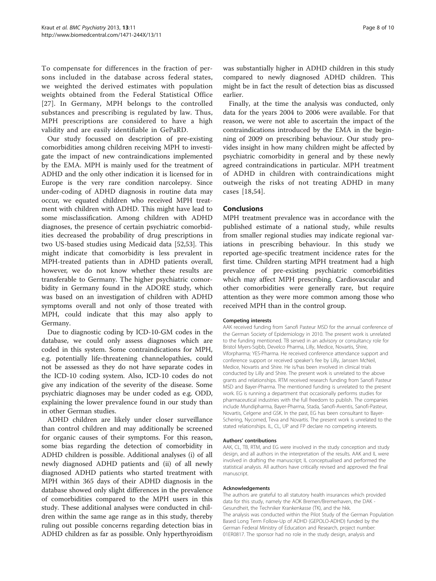To compensate for differences in the fraction of persons included in the database across federal states, we weighted the derived estimates with population weights obtained from the Federal Statistical Office [[27](#page-8-0)]. In Germany, MPH belongs to the controlled substances and prescribing is regulated by law. Thus, MPH prescriptions are considered to have a high validity and are easily identifiable in GePaRD.

Our study focussed on description of pre-existing comorbidities among children receiving MPH to investigate the impact of new contraindications implemented by the EMA. MPH is mainly used for the treatment of ADHD and the only other indication it is licensed for in Europe is the very rare condition narcolepsy. Since under-coding of ADHD diagnosis in routine data may occur, we equated children who received MPH treatment with children with ADHD. This might have lead to some misclassification. Among children with ADHD diagnoses, the presence of certain psychiatric comorbidities decreased the probability of drug prescriptions in two US-based studies using Medicaid data [[52](#page-9-0),[53](#page-9-0)]. This might indicate that comorbidity is less prevalent in MPH-treated patients than in ADHD patients overall, however, we do not know whether these results are transferable to Germany. The higher psychiatric comorbidity in Germany found in the ADORE study, which was based on an investigation of children with ADHD symptoms overall and not only of those treated with MPH, could indicate that this may also apply to Germany.

Due to diagnostic coding by ICD-10-GM codes in the database, we could only assess diagnoses which are coded in this system. Some contraindications for MPH, e.g. potentially life-threatening channelopathies, could not be assessed as they do not have separate codes in the ICD-10 coding system. Also, ICD-10 codes do not give any indication of the severity of the disease. Some psychiatric diagnoses may be under coded as e.g. ODD, explaining the lower prevalence found in our study than in other German studies.

ADHD children are likely under closer surveillance than control children and may additionally be screened for organic causes of their symptoms. For this reason, some bias regarding the detection of comorbidity in ADHD children is possible. Additional analyses (i) of all newly diagnosed ADHD patients and (ii) of all newly diagnosed ADHD patients who started treatment with MPH within 365 days of their ADHD diagnosis in the database showed only slight differences in the prevalence of comorbidities compared to the MPH users in this study. These additional analyses were conducted in children within the same age range as in this study, thereby ruling out possible concerns regarding detection bias in ADHD children as far as possible. Only hyperthyroidism was substantially higher in ADHD children in this study compared to newly diagnosed ADHD children. This might be in fact the result of detection bias as discussed earlier.

Finally, at the time the analysis was conducted, only data for the years 2004 to 2006 were available. For that reason, we were not able to ascertain the impact of the contraindications introduced by the EMA in the beginning of 2009 on prescribing behaviour. Our study provides insight in how many children might be affected by psychiatric comorbidity in general and by these newly agreed contraindications in particular. MPH treatment of ADHD in children with contraindications might outweigh the risks of not treating ADHD in many cases [[18](#page-8-0)[,54\]](#page-9-0).

### Conclusions

MPH treatment prevalence was in accordance with the published estimate of a national study, while results from smaller regional studies may indicate regional variations in prescribing behaviour. In this study we reported age-specific treatment incidence rates for the first time. Children starting MPH treatment had a high prevalence of pre-existing psychiatric comorbidities which may affect MPH prescribing. Cardiovascular and other comorbidities were generally rare, but require attention as they were more common among those who received MPH than in the control group.

#### Competing interests

AAK received funding from Sanofi Pasteur MSD for the annual conference of the German Society of Epidemiology in 2010. The present work is unrelated to the funding mentioned. TB served in an advisory or consultancy role for Bristol Myers-Sqibb, Develco Pharma, Lilly, Medice, Novartis, Shire, Viforpharma; YES-Pharma. He received conference attendance support and conference support or received speaker's fee by Lilly, Janssen McNeil, Medice, Novartis and Shire. He is/has been involved in clinical trials conducted by Lilly and Shire. The present work is unrelated to the above grants and relationships. RTM received research funding from Sanofi Pasteur MSD and Bayer-Pharma. The mentioned funding is unrelated to the present work. EG is running a department that occasionally performs studies for pharmaceutical industries with the full freedom to publish. The companies include Mundipharma, Bayer-Pharma, Stada, Sanofi-Aventis, Sanofi-Pasteur, Novartis, Celgene and GSK. In the past, EG has been consultant to Bayer-Schering, Nycomed, Teva and Novartis. The present work is unrelated to the stated relationships. IL, CL, UP and FP declare no competing interests.

#### Authors' contributions

AAK, CL, TB, RTM, and EG were involved in the study conception and study design, and all authors in the interpretation of the results. AAK and IL were involved in drafting the manuscript; IL conceptualised and performed the statistical analysis. All authors have critically revised and approved the final manuscript.

#### Acknowledgements

The authors are grateful to all statutory health insurances which provided data for this study, namely the AOK Bremen/Bremerhaven, the DAK - Gesundheit, the Techniker Krankenkasse (TK), and the hkk. The analysis was conducted within the Pilot Study of the German Population Based Long Term Follow-Up of ADHD (GEPOLO-ADHD) funded by the German Federal Ministry of Education and Research, project number: 01ER0817. The sponsor had no role in the study design, analysis and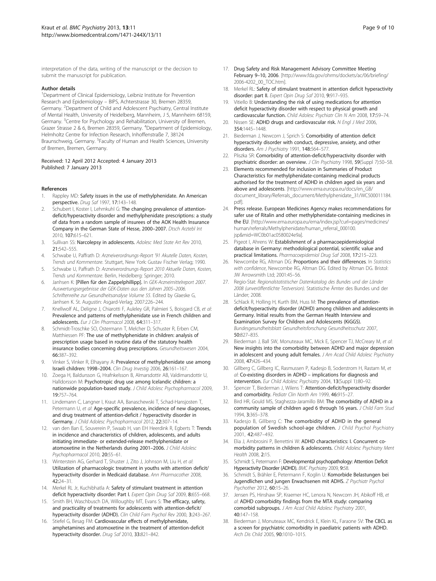<span id="page-8-0"></span>interpretation of the data, writing of the manuscript or the decision to submit the manuscript for publication.

#### Author details

<sup>1</sup>Department of Clinical Epidemiology, Leibniz Institute for Prevention Research and Epidemiology – BIPS, Achterstrasse 30, Bremen 28359, Germany. <sup>2</sup>Department of Child and Adolescent Psychiatry, Central Institute of Mental Health, University of Heidelberg, Mannheim, J 5, Mannheim 68159, Germany.<sup>3</sup> Centre for Psychology and Rehabilitation, University of Bremen, Grazer Strasse 2 & 6, Bremen 28359, Germany. <sup>4</sup>Department of Epidemiology, Helmholtz Centre for Infection Research, Inhoffenstraße 7, 38124 Braunschweig, Germany. <sup>5</sup>Faculty of Human and Health Sciences, University of Bremen, Bremen, Germany.

#### Received: 12 April 2012 Accepted: 4 January 2013 Published: 7 January 2013

#### References

- 1. Rappley MD: Safety issues in the use of methylphenidate. An American perspective. Drug Saf 1997, 17:143–148.
- 2. Schubert I, Koster I, Lehmkuhl G: The changing prevalence of attentiondeficit/hyperactivity disorder and methylphenidate prescriptions: a study of data from a random sample of insurees of the AOK Health Insurance Company in the German State of Hesse, 2000–2007. Dtsch Arztebl Int 2010, 107:615–621.
- 3. Sullivan SS: Narcolepsy in adolescents. Adolesc Med State Art Rev 2010, 21:542–555.
- 4. Schwabe U, Paffrath D: Arzneiverordnungs-Report '91 Akutelle Daten, Kosten, Trends und Kommentare. Stuttgart, New York: Gustav Fischer Verlag; 1990.
- Schwabe U, Paffrath D: Arzneiverordnungs-Report 2010 Aktuelle Daten, Kosten, Trends und Kommentare. Berlin, Heidelberg: Springer; 2010.
- Janhsen K: [Pillen für den Zappelphillipp]. In GEK-Arzneimittelreport 2007. Auswertungsergebnisse der GEK-Daten aus den Jahren 2005–2006. Schriftenreihe zur Gesundheitsanalyse Volume 55. Edited by Glaeske G, Janhsen K. St. Augustin: Asgard-Verlag; 2007:226–244.
- 7. Knellwolf AL, Deligne J, Chiarotti F, Auleley GR, Palmieri S, Boisgard CB, et al: Prevalence and patterns of methylphenidate use in French children and adolescents. Eur J Clin Pharmacol 2008, 64:311–317.
- Schmidt-Troschke SO, Ostermann T, Melcher D, Schuster R, Erben CM, Matthiessen PF: The use of methylphenidate in children: analysis of prescription usage based in routine data of the statutory health insurance bodies concerning drug prescriptions. Gesundheitswesen 2004, 66:387–392.
- Vinker S, Vinker R, Elhayany A: Prevalence of methylphenidate use among Israeli children: 1998–2004. Clin Drug Investig 2006, 26:161–167.
- 10. Zoega H, Baldursson G, Hrafnkelsson B, Almarsdottir AB, Valdimarsdottir U, Halldorsson M: Psychotropic drug use among Icelandic children: a nationwide population-based study. J Child Adolesc Psychopharmacol 2009, 19:757–764.
- 11. Lindemann C, Langner I, Kraut AA, Banaschewski T, Schad-Hansjosten T, Petermann U, et al: Age-specific prevalence, incidence of new diagnoses, and drug treatment of attention-deficit / hyperactivity disorder in Germany. J Child Adolesc Psychopharmacol 2012, 22:307–14.
- 12. van den Ban E, Souverein P, Swaab H, van EH Heerdink R, Egberts T: Trends in incidence and characteristics of children, adolescents, and adults initiating immediate- or extended-release methylphenidate or atomoxetine in the Netherlands during 2001–2006. J Child Adolesc Psychopharmacol 2010, 20:55–61.
- 13. Winterstein AG, Gerhard T, Shuster J, Zito J, Johnson M, Liu H, et al: Utilization of pharmacologic treatment in youths with attention deficit/ hyperactivity disorder in Medicaid database. Ann Pharmacother 2008, 42:24–31.
- 14. Merkel RL Jr, Kuchibhatla A: Safety of stimulant treatment in attention deficit hyperactivity disorder: Part I. Expert Opin Drug Saf 2009, 8:655-668.
- 15. Smith BH, Waschbusch DA, Willoughby MT, Evans S: The efficacy, safety, and practicality of treatments for adolescents with attention-deficit/ hyperactivity disorder (ADHD). Clin Child Fam Psychol Rev 2000, 3:243-267.
- 16. Stiefel G, Besag FM: Cardiovascular effects of methylphenidate, amphetamines and atomoxetine in the treatment of attention-deficit hyperactivity disorder. Drug Saf 2010, 33:821–842.
- 17. Drug Safety and Risk Management Advisory Committee Meeting February 9–10, 2006. [[http://www.fda.gov/ohrms/dockets/ac/06/briefing/](http://www.fda.gov/ohrms/dockets/ac/06/briefing/2006-4202_00_TOC.htm) [2006-4202\\_00\\_TOC.htm\]](http://www.fda.gov/ohrms/dockets/ac/06/briefing/2006-4202_00_TOC.htm).
- 18. Merkel RL: Safety of stimulant treatment in attention deficit hyperactivity disorder: part II. Expert Opin Drug Saf 2010, 9:917-935.
- 19. Vitiello B: Understanding the risk of using medications for attention deficit hyperactivity disorder with respect to physical growth and cardiovascular function. Child Adolesc Psychiatr Clin N Am 2008, 17:59–74.
- 20. Nissen SE: ADHD drugs and cardiovascular risk. N Engl J Med 2006, 354:1445–1448.
- 21. Biederman J, Newcorn J, Sprich S: Comorbidity of attention deficit hyperactivity disorder with conduct, depressive, anxiety, and other disorders. Am J Psychiatry 1991, 148:564-577.
- 22. Pliszka SR: Comorbidity of attention-deficit/hyperactivity disorder with psychiatric disorder: an overview. J Clin Psychiatry 1998, 59(Suppl 7):50-58.
- 23. Elements recommended for inclusion in Summaries of Product Characteristics for methylphenidate-containing medicinal products authorised for the treatment of ADHD in children aged six years and above and adolescents. [[http://www.ema.europa.eu/docs/en\\_GB/](http://www.ema.europa.eu/docs/en_GB/document_library/Referrals_document/Methylphenidate_31/WC500011184.pdf) [document\\_library/Referrals\\_document/Methylphenidate\\_31/WC500011184.](http://www.ema.europa.eu/docs/en_GB/document_library/Referrals_document/Methylphenidate_31/WC500011184.pdf) [pdf](http://www.ema.europa.eu/docs/en_GB/document_library/Referrals_document/Methylphenidate_31/WC500011184.pdf)].
- 24. Press release. European Medicines Agency makes recommendations for safer use of Ritalin and other methylphenidate-containing medicines in the EU. [[http://www.ema.europa.eu/ema/index.jsp?curl=pages/medicines/](http://www.ema.europa.eu/ema/index.jsp?curl=pages/medicines/human/referrals/Methylphenidate/human_referral_000100.jsp&mid=WC0b01ac0580024e9a) [human/referrals/Methylphenidate/human\\_referral\\_000100.](http://www.ema.europa.eu/ema/index.jsp?curl=pages/medicines/human/referrals/Methylphenidate/human_referral_000100.jsp&mid=WC0b01ac0580024e9a) [jsp&mid=WC0b01ac0580024e9a](http://www.ema.europa.eu/ema/index.jsp?curl=pages/medicines/human/referrals/Methylphenidate/human_referral_000100.jsp&mid=WC0b01ac0580024e9a)].
- 25. Pigeot I, Ahrens W: Establishment of a pharmacoepidemiological database in Germany: methodological potential, scientific value and practical limitations. Pharmacoepidemiol Drug Saf 2008, 17:215–223.
- 26. Newcombe RG, Altman DG: Proportions and their differences. In Statistics with confidence, Newcombe RG, Altman DG. Edited by Altman DG. Bristol: JW Arrowsmith Ltd; 2001:45–56.
- 27. Regio-Stat: Regionalstatistischer Datenkatalog des Bundes und der Länder 2008 (unveröffentlichte Testversion). Statistische Ämter des Bundes und der Länder; 2008.
- 28. Schlack R, Holling H, Kurth BM, Huss M: The prevalence of attentiondeficit/hyperactivity disorder (ADHD) among children and adolescents in Germany. Initial results from the German Health Interview and Examination Survey for Children and Adolescents (KiGGS). Bundesgesundheitsblatt Gesundheitsforschung Gesundheitsschutz 2007, 50:827–835.
- 29. Biederman J, Ball SW, Monuteaux MC, Mick E, Spencer TJ, McCreary M, et al: New insights into the comorbidity between ADHD and major depression in adolescent and young adult females. J Am Acad Child Adolesc Psychiatry 2008, 47:426–434.
- 30. Gillberg C, Gillberg IC, Rasmussen P, Kadesjo B, Soderstrom H, Rastam M, et al: Co-existing disorders in ADHD – implications for diagnosis and intervention. Eur Child Adolesc Psychiatry 2004, 13(Suppl 1):80–92.
- 31. Spencer T, Biederman J, Wilens T: Attention-deficit/hyperactivity disorder and comorbidity. Pediatr Clin North Am 1999, 46:915-27.
- 32. Bird HR, Gould MS, Staghezza-Jaramillo BM: The comorbidity of ADHD in a community sample of children aged 6 through 16 years. J Child Fam Stud 1994, 3:365–378.
- 33. Kadesjo B, Gillberg C: The comorbidity of ADHD in the general population of Swedish school-age children. J Child Psychol Psychiatry 2001, 42:487–492.
- Elia J, Ambrosini P, Berrettini W: ADHD characteristics: I. Concurrent comorbidity patterns in children & adolescents. Child Adolesc Psychiatry Ment Health 2008, 2:15.
- 35. Schmidt S, Petermann F: Developmental psychopathology: Attention Deficit Hyperactivity Disorder (ADHD). BMC Psychiatry 2009, 9:58.
- 36. Schmidt S, Brähler E, Petermann F, Koglin U: Komorbide Belastungen bei Jugendlichen und jungen Erwachsenen mit ADHS. Z Psychiatr Psychol Psychother 2012, 60:15–26.
- 37. Jensen PS, Hinshaw SP, Kraemer HC, Lenora N, Newcorn JH, Abikoff HB, et al: ADHD comorbidity findings from the MTA study: comparing comorbid subgroups. J Am Acad Child Adolesc Psychiatry 2001, 40:147–158.
- 38. Biederman J, Monuteaux MC, Kendrick E, Klein KL, Faraone SV: The CBCL as a screen for psychiatric comorbidity in paediatric patients with ADHD. Arch Dis Child 2005, 90:1010–1015.